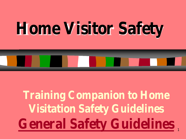# **Home Visitor Safety**

1 **General Safety GuidelinesTraining Companion to Home Visitation Safety Guidelines**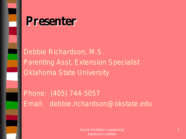

## **Presenter**

Debbie Richardson, M.S. Parenting Asst. Extension Specialist Oklahoma State University

Phone: (405) 744-5057 Email: debbie.richardson@okstate.edu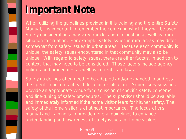## **Important Note**

When utilizing the guidelines provided in this training and the entire Safety Manual, it is important to remember the context in which they will be used. Safety considerations may vary from location to location as well as from situation to situation. For example, safety issues in rural areas may differ somewhat from safety issues in urban areas. Because each community is unique, the safety issues encountered in that community may also be unique. With regard to safety issues, there are other factors, in addition to context, that may need to be considered. Those factors include agency policies and procedures as well as current state laws.

Safety guidelines often need to be adapted and/or expanded to address the specific concerns of each location or situation. Supervisory sessions provide an appropriate venue for discussion of specific safety concerns and fine-tuning of safety procedures. The supervisor should be available and immediately informed if the home visitor fears for his/her safety. The safety of the home visitor is of utmost importance. The focus of this manual and training is to provide general guidelines to enhance understanding and awareness of safety issues for home visitors.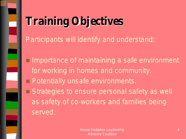

# **Training Objectives**

Participants will identify and understand:

- $\Box$  Importance of maintaining a safe environment for working in homes and community.
- **Potentially unsafe environments.**

Strategies to ensure personal safety as well as safety of co-workers and families being served.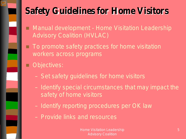#### **Safety Guidelines for Home Visitors**

- Manual development Home Visitation Leadership Advisory Coalition (HVLAC)
- $\blacksquare$  To promote safety practices for home visitation workers across programs
- **D** Objectives:
	- Set safety guidelines for home visitors
	- Identify special circumstances that may impact the safety of home visitors
	- Identify reporting procedures per OK law
	- Provide links and resources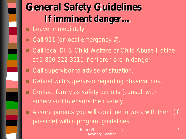## **General Safety Guidelines If imminent danger…**

- **Leave immediately.**
- $\Box$  Call 911 (or local emergency #).
- Call local DHS Child Welfare or Child Abuse Hotline at 1-800-522-3511 if children are in danger.
- Call supervisor to advise of situation.
- Debrief with supervisor regarding observations.
- □ Contact family as safety permits (consult with supervisor) to ensure their safety.
- Assure parents you will continue to work with them (if possible) within program guidelines.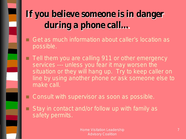#### **If you believe someone is in danger during a phone call…**

- Get as much information about caller's location as possible.
- **Tell them you are calling 911 or other emergency** services --- unless you fear it may worsen the situation or they will hang up. Try to keep caller on line by using another phone or ask someone else to make call.
- Consult with supervisor as soon as possible.
- $\Box$  Stay in contact and/or follow up with family as safety permits.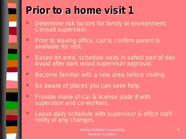

## **Prior to a home visit 1**

- **Determine risk factors for family or environment.** Consult supervisor.
- Prior to leaving office, call to confirm parent is available for visit.
- **Based on area, schedule visits in safest part of day.** Avoid after dark w/out supervisor approval.
- Become familiar with a new area before visiting.
- Be aware of places you can seek help.
- **Provide make-of-car & license plate # with** supervisor and co-workers.
- Leave daily schedule with supervisor & office staff notify of any changes.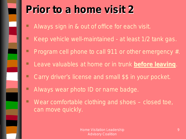

## **Prior to a home visit 2**

- Always sign in & out of office for each visit.
- Keep vehicle well-maintained at least 1/2 tank gas.
- Program cell phone to call 911 or other emergency #.
- **Leave valuables at home or in trunk** *before leaving*.
- Carry driver's license and small \$\$ in your pocket.
- Always wear photo ID or name badge.
- Wear comfortable clothing and shoes closed toe, can move quickly.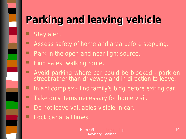# **Parking and leaving vehicle**

- Stay alert.
- **Assess safety of home and area before stopping.**
- **Park in the open and near light source.**
- **Find safest walking route.**
- **Avoid parking where car could be blocked park on** street rather than driveway and in direction to leave.
- In apt complex find family's bldg before exiting car.
- Take only items necessary for home visit.
- **Do not leave valuables visible in car.**
- **Lock car at all times.**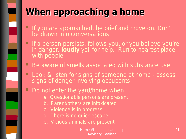

## **When approaching a home**

- If you are approached, be brief and move on. Don't be drawn into conversations.
- $\blacksquare$  If a person persists, follows you, or you believe you're in danger, **loudly** yell for help. Run to nearest place with people.
- Be aware of smells associated with substance use.
- **Look & listen for signs of someone at home assess** signs of danger involving occupants.
- Do not enter the yard/home when:
	- a. Questionable persons are present
	- b. Parent/others are intoxicated
	- c. Violence is in progress
	- d. There is no quick escape
	- e. Vicious animals are present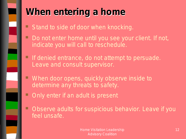

#### **When entering a home**

- Stand to side of door when knocking.
- **Do not enter home until you see your client. If not,** indicate you will call to reschedule.
- If denied entrance, do not attempt to persuade. Leave and consult supervisor.
- **When door opens, quickly observe inside to** determine any threats to safety.
- Only enter if an adult is present
- Observe adults for suspicious behavior. Leave if you feel unsafe.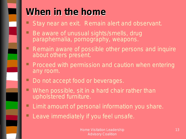

#### **When in the home**

- Stay near an exit. Remain alert and observant.
- Be aware of unusual sights/smells, drug paraphernalia, pornography, weapons.
- **Remain aware of possible other persons and inquire** about others present.
- **Proceed with permission and caution when entering** any room.
	- Do not accept food or beverages.
- When possible, sit in a hard chair rather than upholstered furniture.
- **Limit amount of personal information you share.**
- Leave immediately if you feel unsafe.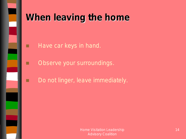

#### **When leaving the home**

- **Have car keys in hand.**
- **D** Observe your surroundings.
- Do not linger, leave immediately.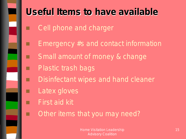

## **Useful Items to have available**

- Cell phone and charger
- $\Box$  Emergency #s and contact information
- Small amount of money & change
	- Plastic trash bags
	- Disinfectant wipes and hand cleaner
		- Latex gloves
	- First aid kit
	- Other items that you may need?